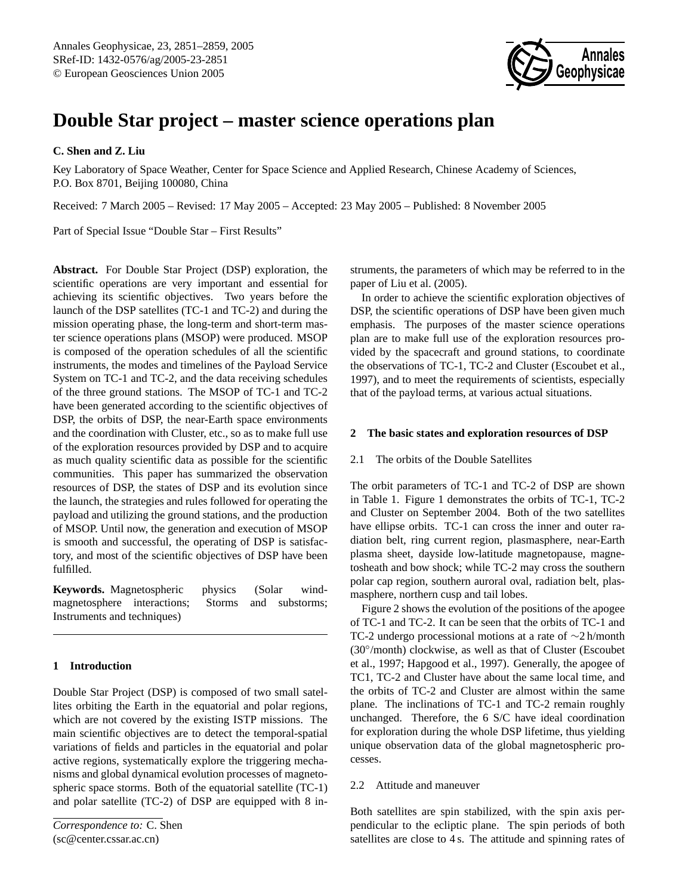

# **Double Star project – master science operations plan**

## **C. Shen and Z. Liu**

Key Laboratory of Space Weather, Center for Space Science and Applied Research, Chinese Academy of Sciences, P.O. Box 8701, Beijing 100080, China

Received: 7 March 2005 – Revised: 17 May 2005 – Accepted: 23 May 2005 – Published: 8 November 2005

Part of Special Issue "Double Star – First Results"

**Abstract.** For Double Star Project (DSP) exploration, the scientific operations are very important and essential for achieving its scientific objectives. Two years before the launch of the DSP satellites (TC-1 and TC-2) and during the mission operating phase, the long-term and short-term master science operations plans (MSOP) were produced. MSOP is composed of the operation schedules of all the scientific instruments, the modes and timelines of the Payload Service System on TC-1 and TC-2, and the data receiving schedules of the three ground stations. The MSOP of TC-1 and TC-2 have been generated according to the scientific objectives of DSP, the orbits of DSP, the near-Earth space environments and the coordination with Cluster, etc., so as to make full use of the exploration resources provided by DSP and to acquire as much quality scientific data as possible for the scientific communities. This paper has summarized the observation resources of DSP, the states of DSP and its evolution since the launch, the strategies and rules followed for operating the payload and utilizing the ground stations, and the production of MSOP. Until now, the generation and execution of MSOP is smooth and successful, the operating of DSP is satisfactory, and most of the scientific objectives of DSP have been fulfilled.

**Keywords.** Magnetospheric physics (Solar windmagnetosphere interactions; Storms and substorms; Instruments and techniques)

## **1 Introduction**

<span id="page-0-0"></span>Double Star Project (DSP) is composed of two small satellites orbiting the Earth in the equatorial and polar regions, which are not covered by the existing ISTP missions. The main scientific objectives are to detect the temporal-spatial variations of fields and particles in the equatorial and polar active regions, systematically explore the triggering mechanisms and global dynamical evolution processes of magnetospheric space storms. Both of the equatorial satellite (TC-1) and polar satellite (TC-2) of DSP are equipped with 8 in-

struments, the parameters of which may be referred to in the paper of Liu et al. (2005).

In order to achieve the scientific exploration objectives of DSP, the scientific operations of DSP have been given much emphasis. The purposes of the master science operations plan are to make full use of the exploration resources provided by the spacecraft and ground stations, to coordinate the observations of TC-1, TC-2 and Cluster (Escoubet et al., 1997), and to meet the requirements of scientists, especially that of the payload terms, at various actual situations.

## **2 The basic states and exploration resources of DSP**

## 2.1 The orbits of the Double Satellites

The orbit parameters of TC-1 and TC-2 of DSP are shown in Table 1. Figure 1 demonstrates the orbits of TC-1, TC-2 and Cluster on September 2004. Both of the two satellites have ellipse orbits. TC-1 can cross the inner and outer radiation belt, ring current region, plasmasphere, near-Earth plasma sheet, dayside low-latitude magnetopause, magnetosheath and bow shock; while TC-2 may cross the southern polar cap region, southern auroral oval, radiation belt, plasmasphere, northern cusp and tail lobes.

Figure 2 shows the evolution of the positions of the apogee of TC-1 and TC-2. It can be seen that the orbits of TC-1 and TC-2 undergo processional motions at a rate of ∼2 h/month (30◦ /month) clockwise, as well as that of Cluster (Escoubet et al., 1997; Hapgood et al., 1997). Generally, the apogee of TC1, TC-2 and Cluster have about the same local time, and the orbits of TC-2 and Cluster are almost within the same plane. The inclinations of TC-1 and TC-2 remain roughly unchanged. Therefore, the 6 S/C have ideal coordination for exploration during the whole DSP lifetime, thus yielding unique observation data of the global magnetospheric processes.

## 2.2 Attitude and maneuver

Both satellites are spin stabilized, with the spin axis perpendicular to the ecliptic plane. The spin periods of both satellites are close to 4 s. The attitude and spinning rates of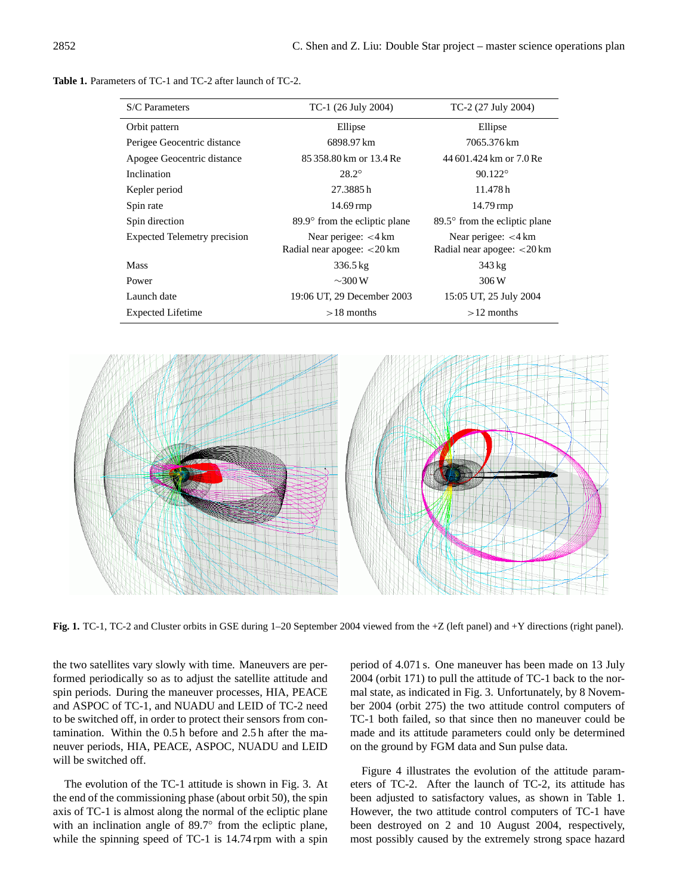**Table 1.** Parameters of TC-1 and TC-2 after launch of TC-2.

| S/C Parameters                      | TC-1 (26 July 2004)                                                                                                | TC-2 (27 July 2004)     |
|-------------------------------------|--------------------------------------------------------------------------------------------------------------------|-------------------------|
| Orbit pattern                       | Ellipse                                                                                                            | Ellipse                 |
| Perigee Geocentric distance         | 6898.97 km                                                                                                         | 7065.376 km             |
| Apogee Geocentric distance          | 85 358.80 km or 13.4 Re                                                                                            | 44 601.424 km or 7.0 Re |
| Inclination                         | $28.2^{\circ}$                                                                                                     | $90.122^{\circ}$        |
| Kepler period                       | 27.3885h                                                                                                           | 11.478h                 |
| Spin rate                           | $14.69 \,\mathrm{rmp}$<br>$14.79 \,\mathrm{rmp}$                                                                   |                         |
| Spin direction                      | 89.9° from the ecliptic plane<br>89.5° from the ecliptic plane                                                     |                         |
| <b>Expected Telemetry precision</b> | Near perigee: $<$ 4 km<br>Near perigee: $<$ 4 km<br>Radial near apogee: $<$ 20 km<br>Radial near apogee: $<$ 20 km |                         |
| <b>Mass</b>                         | $336.5 \,\mathrm{kg}$                                                                                              | $343 \text{ kg}$        |
| Power                               | $\sim$ 300 W                                                                                                       | 306 W                   |
| Launch date                         | 19:06 UT, 29 December 2003                                                                                         | 15:05 UT, 25 July 2004  |
| <b>Expected Lifetime</b>            | $>18$ months<br>$>12$ months                                                                                       |                         |



**Fig. 1.** TC-1, TC-2 and Cluster orbits in GSE during 1–20 September 2004 viewed from the +Z (left panel) and +Y directions (right panel).

the two satellites vary slowly with time. Maneuvers are performed periodically so as to adjust the satellite attitude and spin periods. During the maneuver processes, HIA, PEACE and ASPOC of TC-1, and NUADU and LEID of TC-2 need to be switched off, in order to protect their sensors from contamination. Within the 0.5 h before and 2.5 h after the maneuver periods, HIA, PEACE, ASPOC, NUADU and LEID will be switched off.

The evolution of the TC-1 attitude is shown in Fig. 3. At the end of the commissioning phase (about orbit 50), the spin axis of TC-1 is almost along the normal of the ecliptic plane with an inclination angle of 89.7° from the ecliptic plane, while the spinning speed of TC-1 is 14.74 rpm with a spin period of 4.071 s. One maneuver has been made on 13 July 2004 (orbit 171) to pull the attitude of TC-1 back to the normal state, as indicated in Fig. 3. Unfortunately, by 8 November 2004 (orbit 275) the two attitude control computers of TC-1 both failed, so that since then no maneuver could be made and its attitude parameters could only be determined on the ground by FGM data and Sun pulse data.

Figure 4 illustrates the evolution of the attitude parameters of TC-2. After the launch of TC-2, its attitude has been adjusted to satisfactory values, as shown in Table 1. However, the two attitude control computers of TC-1 have been destroyed on 2 and 10 August 2004, respectively, most possibly caused by the extremely strong space hazard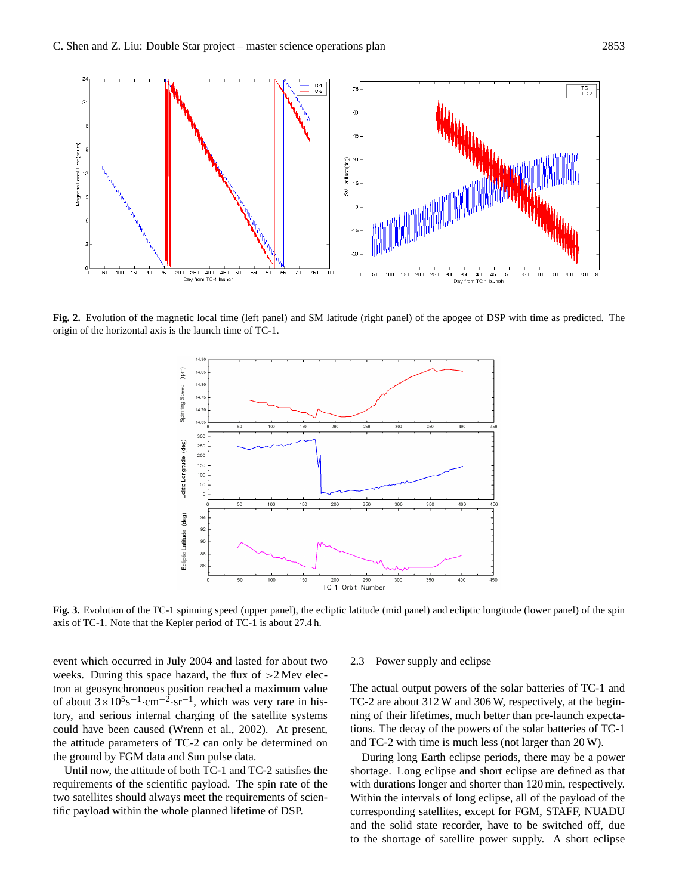

**Fig. 2.** Evolution of the magnetic local time (left panel) and SM latitude (right panel) of the apogee of DSP with time as predicted. The origin of the horizontal axis is the launch time of TC-1.



**Fig. 3.** Evolution of the TC-1 spinning speed (upper panel), the ecliptic latitude (mid panel) and ecliptic longitude (lower panel) of the spin axis of TC-1. Note that the Kepler period of TC-1 is about 27.4 h.

event which occurred in July 2004 and lasted for about two weeks. During this space hazard, the flux of  $>2$  Mev electron at geosynchronoeus position reached a maximum value of about  $3 \times 10^5$ s<sup>-1</sup> $\cdot$ cm<sup>-2</sup> $\cdot$ sr<sup>-1</sup>, which was very rare in history, and serious internal charging of the satellite systems could have been caused (Wrenn et al., 2002). At present, the attitude parameters of TC-2 can only be determined on the ground by FGM data and Sun pulse data.

Until now, the attitude of both TC-1 and TC-2 satisfies the requirements of the scientific payload. The spin rate of the two satellites should always meet the requirements of scientific payload within the whole planned lifetime of DSP.

#### 2.3 Power supply and eclipse

The actual output powers of the solar batteries of TC-1 and TC-2 are about 312 W and 306 W, respectively, at the beginning of their lifetimes, much better than pre-launch expectations. The decay of the powers of the solar batteries of TC-1 and TC-2 with time is much less (not larger than 20 W).

During long Earth eclipse periods, there may be a power shortage. Long eclipse and short eclipse are defined as that with durations longer and shorter than 120 min, respectively. Within the intervals of long eclipse, all of the payload of the corresponding satellites, except for FGM, STAFF, NUADU and the solid state recorder, have to be switched off, due to the shortage of satellite power supply. A short eclipse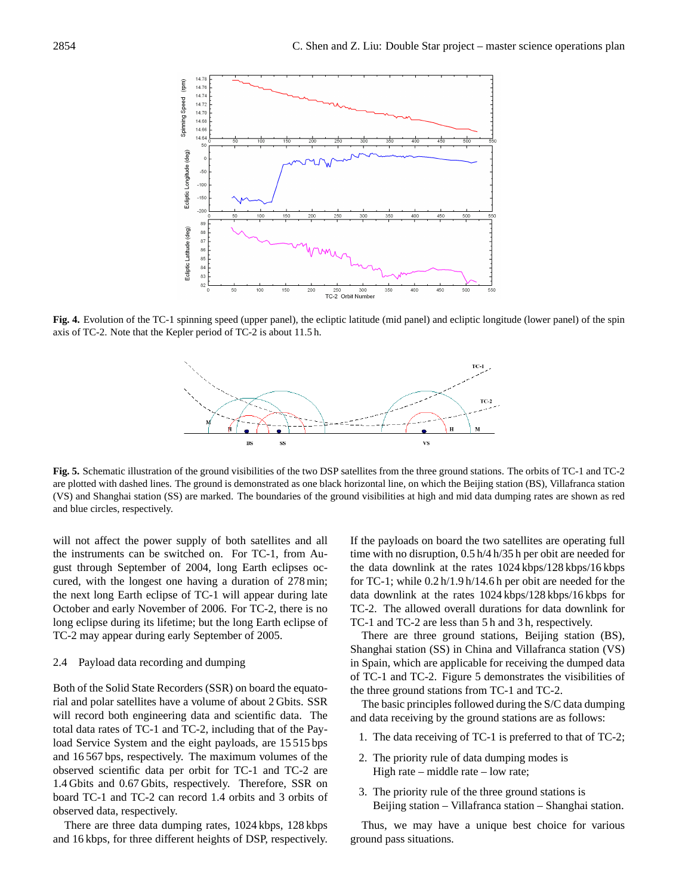

**Fig. 4.** Evolution of the TC-1 spinning speed (upper panel), the ecliptic latitude (mid panel) and ecliptic longitude (lower panel) of the spin axis of TC-2. Note that the Kepler period of TC-2 is about 11.5 h.



**Fig. 5.** Schematic illustration of the ground visibilities of the two DSP satellites from the three ground stations. The orbits of TC-1 and TC-2 are plotted with dashed lines. The ground is demonstrated as one black horizontal line, on which the Beijing station (BS), Villafranca station (VS) and Shanghai station (SS) are marked. The boundaries of the ground visibilities at high and mid data dumping rates are shown as red and blue circles, respectively.

will not affect the power supply of both satellites and all the instruments can be switched on. For TC-1, from August through September of 2004, long Earth eclipses occured, with the longest one having a duration of 278 min; the next long Earth eclipse of TC-1 will appear during late October and early November of 2006. For TC-2, there is no long eclipse during its lifetime; but the long Earth eclipse of TC-2 may appear during early September of 2005.

### 2.4 Payload data recording and dumping

Both of the Solid State Recorders (SSR) on board the equatorial and polar satellites have a volume of about 2 Gbits. SSR will record both engineering data and scientific data. The total data rates of TC-1 and TC-2, including that of the Payload Service System and the eight payloads, are 15 515 bps and 16 567 bps, respectively. The maximum volumes of the observed scientific data per orbit for TC-1 and TC-2 are 1.4 Gbits and 0.67 Gbits, respectively. Therefore, SSR on board TC-1 and TC-2 can record 1.4 orbits and 3 orbits of observed data, respectively.

There are three data dumping rates, 1024 kbps, 128 kbps and 16 kbps, for three different heights of DSP, respectively. If the payloads on board the two satellites are operating full time with no disruption, 0.5 h/4 h/35 h per obit are needed for the data downlink at the rates 1024 kbps/128 kbps/16 kbps for TC-1; while 0.2 h/1.9 h/14.6 h per obit are needed for the data downlink at the rates 1024 kbps/128 kbps/16 kbps for TC-2. The allowed overall durations for data downlink for TC-1 and TC-2 are less than 5 h and 3 h, respectively.

There are three ground stations, Beijing station (BS), Shanghai station (SS) in China and Villafranca station (VS) in Spain, which are applicable for receiving the dumped data of TC-1 and TC-2. Figure 5 demonstrates the visibilities of the three ground stations from TC-1 and TC-2.

The basic principles followed during the S/C data dumping and data receiving by the ground stations are as follows:

- 1. The data receiving of TC-1 is preferred to that of TC-2;
- 2. The priority rule of data dumping modes is High rate – middle rate – low rate;
- 3. The priority rule of the three ground stations is Beijing station – Villafranca station – Shanghai station.

Thus, we may have a unique best choice for various ground pass situations.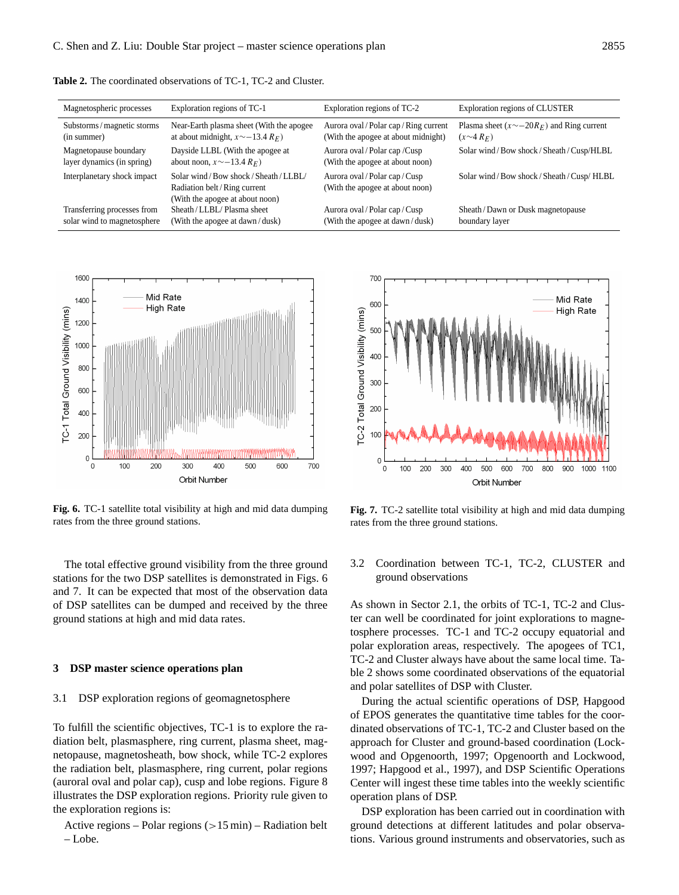**Table 2.** The coordinated observations of TC-1, TC-2 and Cluster.

| Magnetospheric processes    | Exploration regions of TC-1                                                                         | Exploration regions of TC-2                                       | Exploration regions of CLUSTER                  |
|-----------------------------|-----------------------------------------------------------------------------------------------------|-------------------------------------------------------------------|-------------------------------------------------|
| Substorms / magnetic storms | Near-Earth plasma sheet (With the apogee)                                                           | Aurora oval / Polar cap / Ring current                            | Plasma sheet $(x \sim -20R_F)$ and Ring current |
| (in summer)                 | at about midnight, $x \sim -13.4 R_F$ )                                                             | (With the apogee at about midnight)                               | $(x \sim 4 R_F)$                                |
| Magnetopause boundary       | Dayside LLBL (With the apogee at                                                                    | Aurora oval / Polar cap / Cusp                                    | Solar wind/Bow shock/Sheath/Cusp/HLBL           |
| layer dynamics (in spring)  | about noon, $x \sim -13.4 R_F$ )                                                                    | (With the apogee at about noon)                                   |                                                 |
| Interplanetary shock impact | Solar wind/Bow shock/Sheath/LLBL/<br>Radiation belt/Ring current<br>(With the apogee at about noon) | Aurora oval / Polar cap / Cusp<br>(With the apogee at about noon) | Solar wind/Bow shock/Sheath/Cusp/HLBL           |
| Transferring processes from | Sheath/LLBL/Plasma sheet                                                                            | Aurora oval / Polar cap / Cusp                                    | Sheath / Dawn or Dusk magnetopause              |
| solar wind to magnetosphere | (With the apogee at dawn/dusk)                                                                      | (With the apogee at dawn/dusk)                                    | boundary layer                                  |



**Fig. 6.** TC-1 satellite total visibility at high and mid data dumping rates from the three ground stations.

The total effective ground visibility from the three ground stations for the two DSP satellites is demonstrated in Figs. 6 and 7. It can be expected that most of the observation data of DSP satellites can be dumped and received by the three ground stations at high and mid data rates.

#### **3 DSP master science operations plan**

#### 3.1 DSP exploration regions of geomagnetosphere

To fulfill the scientific objectives, TC-1 is to explore the radiation belt, plasmasphere, ring current, plasma sheet, magnetopause, magnetosheath, bow shock, while TC-2 explores the radiation belt, plasmasphere, ring current, polar regions (auroral oval and polar cap), cusp and lobe regions. Figure 8 illustrates the DSP exploration regions. Priority rule given to the exploration regions is:

Active regions – Polar regions  $(>15 \text{ min})$  – Radiation belt – Lobe.



**Fig. 7.** TC-2 satellite total visibility at high and mid data dumping rates from the three ground stations.

3.2 Coordination between TC-1, TC-2, CLUSTER and ground observations

As shown in Sector 2.1, the orbits of TC-1, TC-2 and Cluster can well be coordinated for joint explorations to magnetosphere processes. TC-1 and TC-2 occupy equatorial and polar exploration areas, respectively. The apogees of TC1, TC-2 and Cluster always have about the same local time. Table 2 shows some coordinated observations of the equatorial and polar satellites of DSP with Cluster.

During the actual scientific operations of DSP, Hapgood of EPOS generates the quantitative time tables for the coordinated observations of TC-1, TC-2 and Cluster based on the approach for Cluster and ground-based coordination (Lockwood and Opgenoorth, 1997; Opgenoorth and Lockwood, 1997; Hapgood et al., 1997), and DSP Scientific Operations Center will ingest these time tables into the weekly scientific operation plans of DSP.

DSP exploration has been carried out in coordination with ground detections at different latitudes and polar observations. Various ground instruments and observatories, such as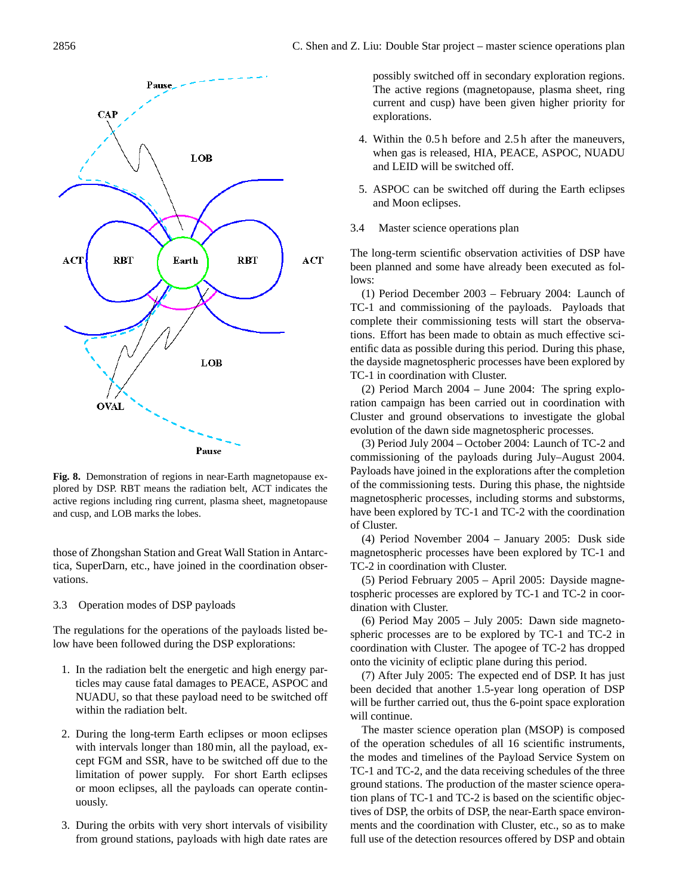

**Fig. 8.** Demonstration of regions in near-Earth magnetopause explored by DSP. RBT means the radiation belt, ACT indicates the active regions including ring current, plasma sheet, magnetopause and cusp, and LOB marks the lobes.

those of Zhongshan Station and Great Wall Station in Antarctica, SuperDarn, etc., have joined in the coordination observations.

3.3 Operation modes of DSP payloads

The regulations for the operations of the payloads listed below have been followed during the DSP explorations:

- 1. In the radiation belt the energetic and high energy particles may cause fatal damages to PEACE, ASPOC and NUADU, so that these payload need to be switched off within the radiation belt.
- 2. During the long-term Earth eclipses or moon eclipses with intervals longer than 180 min, all the payload, except FGM and SSR, have to be switched off due to the limitation of power supply. For short Earth eclipses or moon eclipses, all the payloads can operate continuously.
- 3. During the orbits with very short intervals of visibility from ground stations, payloads with high date rates are

possibly switched off in secondary exploration regions. The active regions (magnetopause, plasma sheet, ring current and cusp) have been given higher priority for explorations.

- 4. Within the 0.5 h before and 2.5 h after the maneuvers, when gas is released, HIA, PEACE, ASPOC, NUADU and LEID will be switched off.
- 5. ASPOC can be switched off during the Earth eclipses and Moon eclipses.
- 3.4 Master science operations plan

The long-term scientific observation activities of DSP have been planned and some have already been executed as follows:

(1) Period December 2003 – February 2004: Launch of TC-1 and commissioning of the payloads. Payloads that complete their commissioning tests will start the observations. Effort has been made to obtain as much effective scientific data as possible during this period. During this phase, the dayside magnetospheric processes have been explored by TC-1 in coordination with Cluster.

(2) Period March 2004 – June 2004: The spring exploration campaign has been carried out in coordination with Cluster and ground observations to investigate the global evolution of the dawn side magnetospheric processes.

(3) Period July 2004 – October 2004: Launch of TC-2 and commissioning of the payloads during July–August 2004. Payloads have joined in the explorations after the completion of the commissioning tests. During this phase, the nightside magnetospheric processes, including storms and substorms, have been explored by TC-1 and TC-2 with the coordination of Cluster.

(4) Period November 2004 – January 2005: Dusk side magnetospheric processes have been explored by TC-1 and TC-2 in coordination with Cluster.

(5) Period February 2005 – April 2005: Dayside magnetospheric processes are explored by TC-1 and TC-2 in coordination with Cluster.

(6) Period May 2005 – July 2005: Dawn side magnetospheric processes are to be explored by TC-1 and TC-2 in coordination with Cluster. The apogee of TC-2 has dropped onto the vicinity of ecliptic plane during this period.

(7) After July 2005: The expected end of DSP. It has just been decided that another 1.5-year long operation of DSP will be further carried out, thus the 6-point space exploration will continue.

The master science operation plan (MSOP) is composed of the operation schedules of all 16 scientific instruments, the modes and timelines of the Payload Service System on TC-1 and TC-2, and the data receiving schedules of the three ground stations. The production of the master science operation plans of TC-1 and TC-2 is based on the scientific objectives of DSP, the orbits of DSP, the near-Earth space environments and the coordination with Cluster, etc., so as to make full use of the detection resources offered by DSP and obtain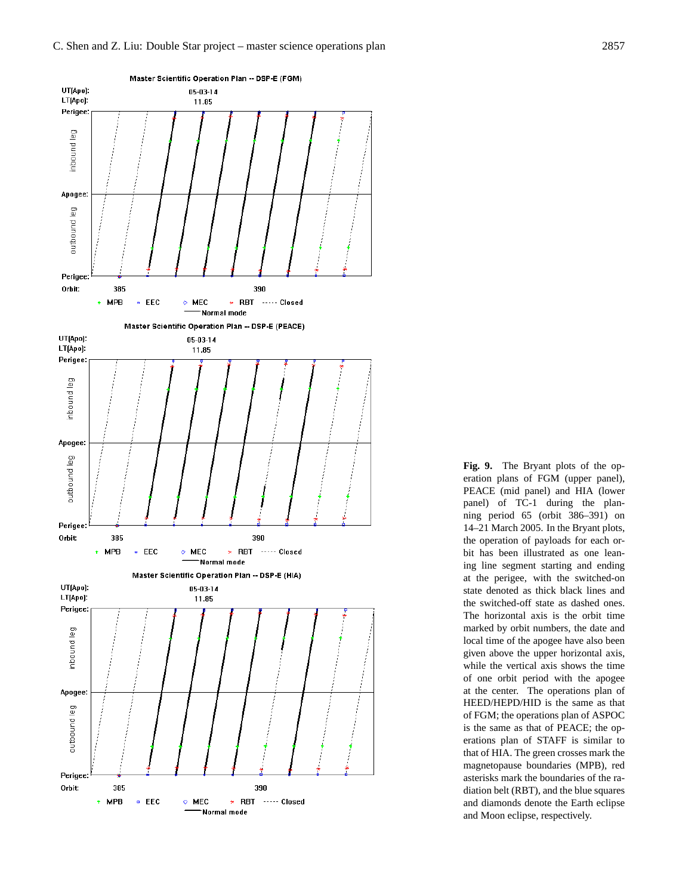

**Fig. 9.** The Bryant plots of the operation plans of FGM (upper panel), PEACE (mid panel) and HIA (lower panel) of TC-1 during the planning period 65 (orbit 386–391) on 14–21 March 2005. In the Bryant plots, the operation of payloads for each orbit has been illustrated as one leaning line segment starting and ending at the perigee, with the switched-on state denoted as thick black lines and the switched-off state as dashed ones. The horizontal axis is the orbit time marked by orbit numbers, the date and local time of the apogee have also been given above the upper horizontal axis, while the vertical axis shows the time of one orbit period with the apogee at the center. The operations plan of HEED/HEPD/HID is the same as that of FGM; the operations plan of ASPOC is the same as that of PEACE; the operations plan of STAFF is similar to that of HIA. The green crosses mark the magnetopause boundaries (MPB), red asterisks mark the boundaries of the radiation belt (RBT), and the blue squares and diamonds denote the Earth eclipse and Moon eclipse, respectively.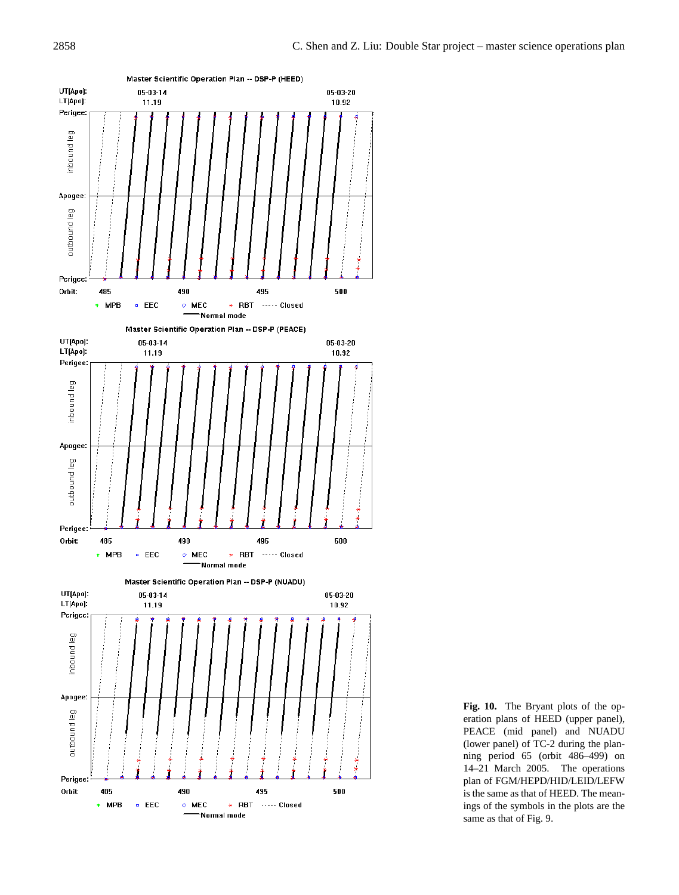

**Fig. 10.** The Bryant plots of the operation plans of HEED (upper panel), PEACE (mid panel) and NUADU (lower panel) of TC-2 during the planning period 65 (orbit 486–499) on 14–21 March 2005. The operations plan of FGM/HEPD/HID/LEID/LEFW is the same as that of HEED. The meanings of the symbols in the plots are the same as that of Fig. 9.